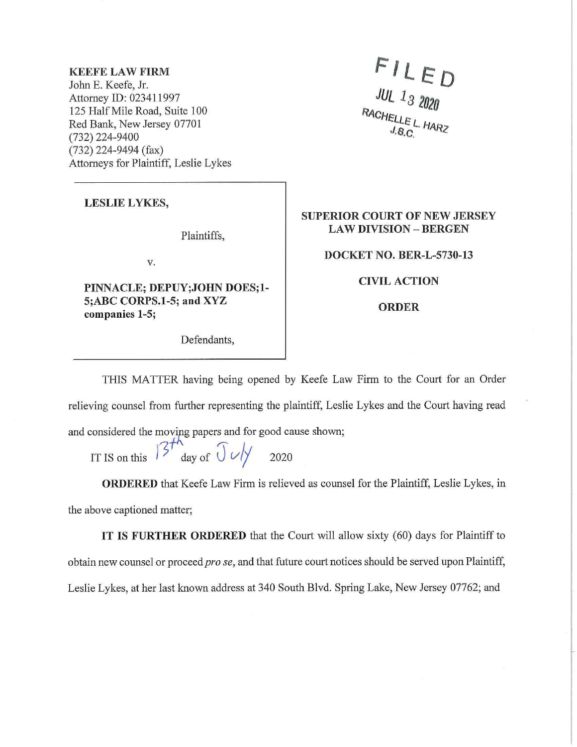## **KEEFE LAW FIRM**

John E. Keefe, Jr. Attorney ID: 023411997 125 Half Mile Road, Suite 100 Red Bank, New Jersey 07701 (732) 224-9400 (732) 224-9494 (fax) Attorneys for Plaintiff, Leslie Lykes

 $FLED$ <br>
JUL 13 2020<br>
RACHELLEL HARZ

## **LESLIE LYKES,**

Plaintiffs,

V.

**PINNACLE; DEPUY;JOHN DOES;l-S;ABC CORPS.1-5; and XYZ companies 1-5;** 

Defendants,

## **SUPERIOR COURT OF NEW JERSEY LAW DIVISION - BERGEN**

**DOCKET NO. BER-L-5730-13** 

**CIVIL ACTION** 

**ORDER** 

THIS MATTER having being opened by Keefe Law Firm to the Court for an Order relieving counsel from further representing the plaintiff, Leslie Lykes and the Court having read and considered the moving papers and for good cause shown;

IT IS on this  $\int^{2T}$  day of  $\int \frac{1}{\sqrt{2}}$  2020

**ORDERED** that Keefe Law Firm is relieved as counsel for the Plaintiff, Leslie Lykes, in the above captioned matter;

**IT IS FURTHER ORDERED** that the Court will allow sixty (60) days for Plaintiff to obtain new counsel or proceed *prose,* and that future court notices should be served upon Plaintiff, Leslie Lykes, at her last known address at 340 South Blvd. Spring Lake, New Jersey 07762; and